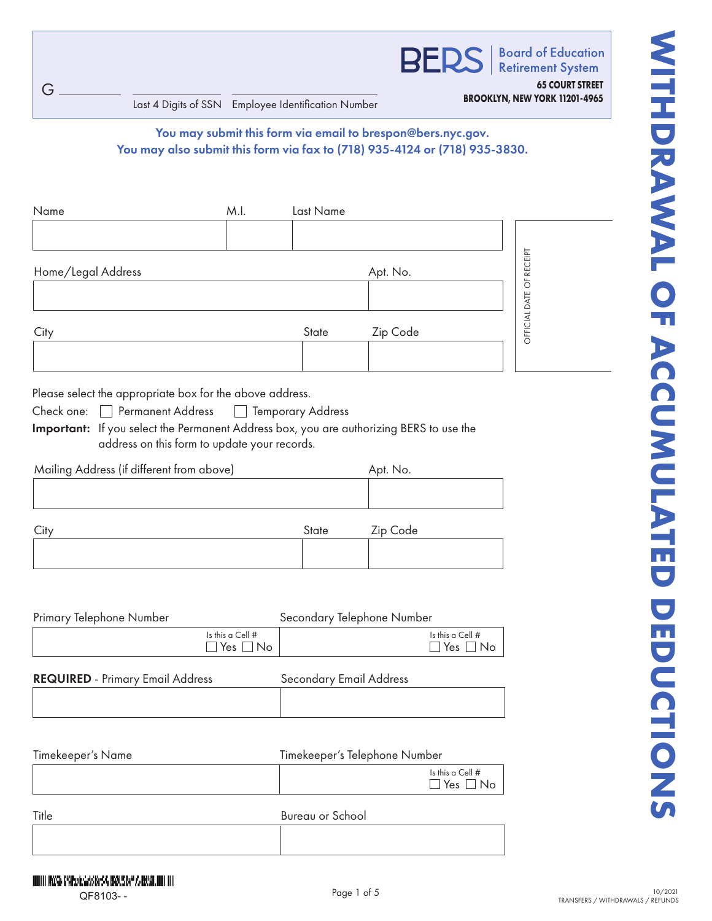|--|

| G<br>Last 4 Digits of SSN Employee Identification Number                                          |                                          |                                | <b>BERS</b>                                                                                                                               | <b>Retirement System</b><br><b>65 COURT STREET</b><br>BROOKLYN, NEW YORK 11201-4965 |
|---------------------------------------------------------------------------------------------------|------------------------------------------|--------------------------------|-------------------------------------------------------------------------------------------------------------------------------------------|-------------------------------------------------------------------------------------|
|                                                                                                   |                                          |                                | You may submit this form via email to brespon@bers.nyc.gov.<br>You may also submit this form via fax to (718) 935-4124 or (718) 935-3830. |                                                                                     |
| Name                                                                                              | M.I.                                     | Last Name                      |                                                                                                                                           |                                                                                     |
| Home/Legal Address                                                                                |                                          |                                | Apt. No.                                                                                                                                  | OFFICIAL DATE OF RECEIPT                                                            |
| City                                                                                              |                                          | State                          | Zip Code                                                                                                                                  |                                                                                     |
| Mailing Address (if different from above)                                                         |                                          |                                | Apt. No.                                                                                                                                  |                                                                                     |
| City                                                                                              |                                          |                                |                                                                                                                                           |                                                                                     |
|                                                                                                   |                                          | State                          | Zip Code                                                                                                                                  |                                                                                     |
|                                                                                                   |                                          |                                | Secondary Telephone Number                                                                                                                |                                                                                     |
|                                                                                                   | Is this a Cell #<br>$\Box$ Yes $\Box$ No |                                | Is this a Cell #                                                                                                                          | Yes $\Box$ No                                                                       |
|                                                                                                   |                                          | <b>Secondary Email Address</b> |                                                                                                                                           |                                                                                     |
|                                                                                                   |                                          |                                | Timekeeper's Telephone Number                                                                                                             |                                                                                     |
|                                                                                                   |                                          |                                | Is this a Cell #                                                                                                                          | Yes $\Box$ No                                                                       |
| Primary Telephone Number<br><b>REQUIRED</b> - Primary Email Address<br>Timekeeper's Name<br>Title |                                          | Bureau or School               |                                                                                                                                           |                                                                                     |

| Check one: | □ Permanent Address | $\Box$ Temporary Address |
|------------|---------------------|--------------------------|
|------------|---------------------|--------------------------|

| Mailing Address (if different from above) |       | Apt. No. |
|-------------------------------------------|-------|----------|
|                                           |       |          |
|                                           | State | Zip Code |
|                                           |       |          |

| Primary Telephone Number                | Secondary Telephone Number                 |                                |                                            |
|-----------------------------------------|--------------------------------------------|--------------------------------|--------------------------------------------|
|                                         | Is this a Cell $#$<br>$\Box$ Yes $\Box$ No |                                | Is this a Cell $#$<br>$\Box$ Yes $\Box$ No |
| <b>REQUIRED</b> - Primary Email Address |                                            | <b>Secondary Email Address</b> |                                            |

|  | .<br>. |
|--|--------|
|  |        |
|  |        |
|  |        |
|  |        |
|  |        |
|  |        |
|  |        |

| Timekeeper's Name | Timekeeper's Telephone Number                    |  |
|-------------------|--------------------------------------------------|--|
|                   | Is this a Cell $#$<br>$\square$ Yes $\square$ No |  |
| $T: I \sim$       | D. C. 1                                          |  |

| Title | Bureau or School |
|-------|------------------|
|       |                  |
|       |                  |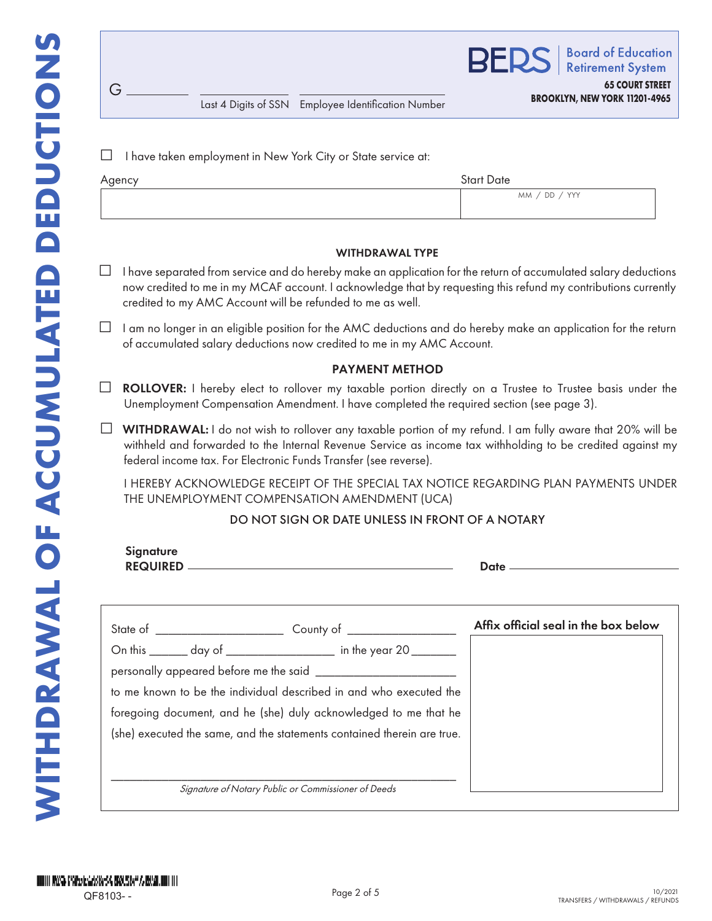G

**BER Board of Education Retirement System 65 COURT STREET**

Last 4 Digits of SSN Employee Identification Number **BROOKLYN, NEW YORK 11201-4965**

 $\Box$  I have taken employment in New York City or State service at:

| Agency | <b>Start Date</b> |
|--------|-------------------|
|        | MM / DD / YYY     |
|        |                   |

#### WITHDRAWAL TYPE

- □ I have separated from service and do hereby make an application for the return of accumulated salary deductions now credited to me in my MCAF account. I acknowledge that by requesting this refund my contributions currently credited to my AMC Account will be refunded to me as well.
- $\Box$  I am no longer in an eligible position for the AMC deductions and do hereby make an application for the return of accumulated salary deductions now credited to me in my AMC Account.

## PAYMENT METHOD

- $\Box$  **ROLLOVER:** I hereby elect to rollover my taxable portion directly on a Trustee to Trustee basis under the Unemployment Compensation Amendment. I have completed the required section (see page 3).
- $\Box$  WITHDRAWAL: I do not wish to rollover any taxable portion of my refund. I am fully aware that 20% will be withheld and forwarded to the Internal Revenue Service as income tax withholding to be credited against my federal income tax. For Electronic Funds Transfer (see reverse).

I HEREBY ACKNOWLEDGE RECEIPT OF THE SPECIAL TAX NOTICE REGARDING PLAN PAYMENTS UNDER THE UNEMPLOYMENT COMPENSATION AMENDMENT (UCA)

## DO NOT SIGN OR DATE UNLESS IN FRONT OF A NOTARY

| <b>Signature</b> |                                                                         |                                      |
|------------------|-------------------------------------------------------------------------|--------------------------------------|
|                  |                                                                         | Affix official seal in the box below |
|                  | On this _______ day of ___________________ in the year 20 ________      |                                      |
|                  |                                                                         |                                      |
|                  | to me known to be the individual described in and who executed the      |                                      |
|                  | foregoing document, and he (she) duly acknowledged to me that he        |                                      |
|                  | (she) executed the same, and the statements contained therein are true. |                                      |
|                  |                                                                         |                                      |
|                  | Signature of Notary Public or Commissioner of Deeds                     |                                      |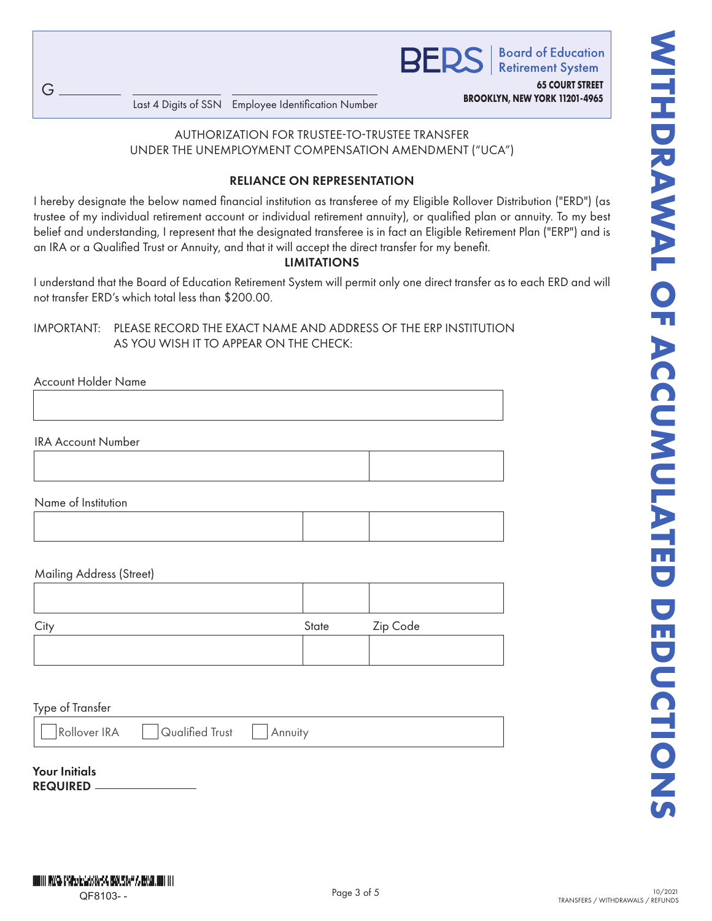**65 COURT STREET**

**BROOKLYN, NEW YORK 11201-4965** Last 4 Digits of SSN Employee Identification Number

AUTHORIZATION FOR TRUSTEE-TO-TRUSTEE TRANSFER UNDER THE UNEMPLOYMENT COMPENSATION AMENDMENT ("UCA")

# RELIANCE ON REPRESENTATION

**EXAMPLE AND AND STRUCK CONTRAWALS (SCREEN)**<br>
CONDER THE UNEXCONDING TRUSTE TO TRUSTE TRANSFER<br>
UNDER THE UNEXCONDENT CONTRACTOR AND CONTRACTOR CONTRACTOR<br>
UNDER THE UNEXCONDENT CONTRACTOR AND CONTRACTOR CONTRACTOR CONTRAC I hereby designate the below named financial institution as transferee of my Eligible Rollover Distribution ("ERD") (as trustee of my individual retirement account or individual retirement annuity), or qualified plan or annuity. To my best belief and understanding, I represent that the designated transferee is in fact an Eligible Retirement Plan ("ERP") and is an IRA or a Qualified Trust or Annuity, and that it will accept the direct transfer for my benefit.

## LIMITATIONS

I understand that the Board of Education Retirement System will permit only one direct transfer as to each ERD and will not transfer ERD's which total less than \$200.00.

# IMPORTANT: PLEASE RECORD THE EXACT NAME AND ADDRESS OF THE ERP INSTITUTION AS YOU WISH IT TO APPEAR ON THE CHECK:

Account Holder Name

G

IRA Account Number

Name of Institution

## Mailing Address (Street)

| Cit | State | Zip Code |
|-----|-------|----------|
|     |       |          |
|     |       |          |

## Type of Transfer

Rollover IRA | Qualified Trust | Annuity

# Your Initials

REQUIRED

HINTII WASA GYAPARIGAS KASA BIKU, SIAP AARKAN HIII IIII QF8103- -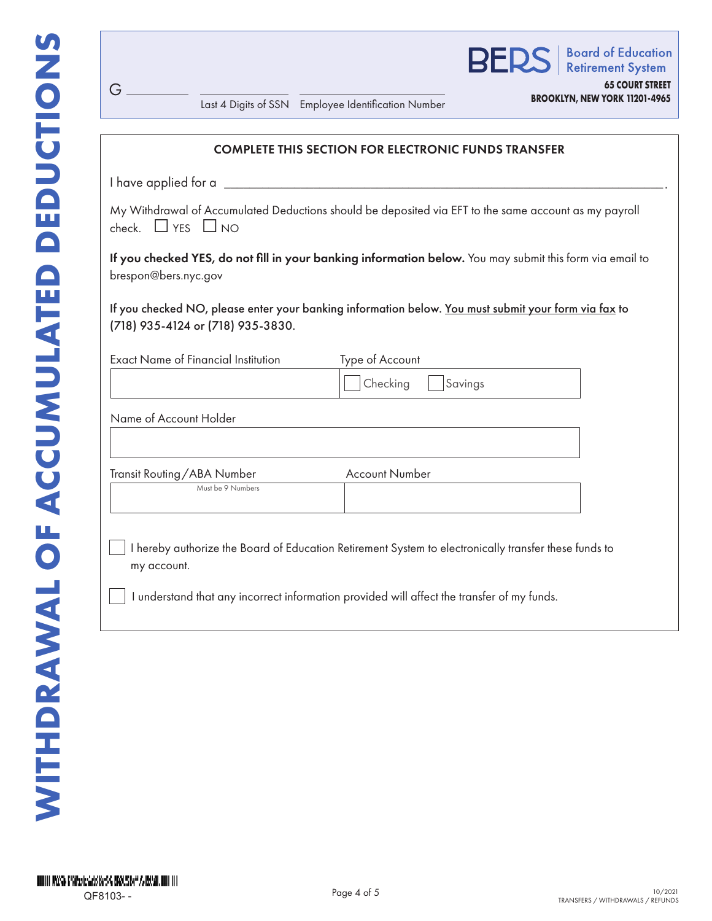G

|                                                     | <b>BERS</b>   Board of Education                               |
|-----------------------------------------------------|----------------------------------------------------------------|
| Last 4 Digits of SSN Employee Identification Number | <b>65 COURT STREET</b><br><b>BROOKLYN, NEW YORK 11201-4965</b> |
|                                                     |                                                                |

| <b>COMPLETE THIS SECTION FOR ELECTRONIC FUNDS TRANSFER</b> |                                                                                                          |
|------------------------------------------------------------|----------------------------------------------------------------------------------------------------------|
|                                                            | I have applied for a                                                                                     |
| check. $\Box$ YES $\Box$ NO                                | My Withdrawal of Accumulated Deductions should be deposited via EFT to the same account as my payroll    |
| brespon@bers.nyc.gov                                       | If you checked YES, do not fill in your banking information below. You may submit this form via email to |
| (718) 935-4124 or (718) 935-3830.                          | If you checked NO, please enter your banking information below. You must submit your form via fax to     |
|                                                            |                                                                                                          |
| <b>Exact Name of Financial Institution</b>                 | Type of Account                                                                                          |
|                                                            | Checking<br>Savings                                                                                      |
| Name of Account Holder                                     |                                                                                                          |
|                                                            |                                                                                                          |
| Transit Routing/ABA Number<br>Must be 9 Numbers            | <b>Account Number</b>                                                                                    |